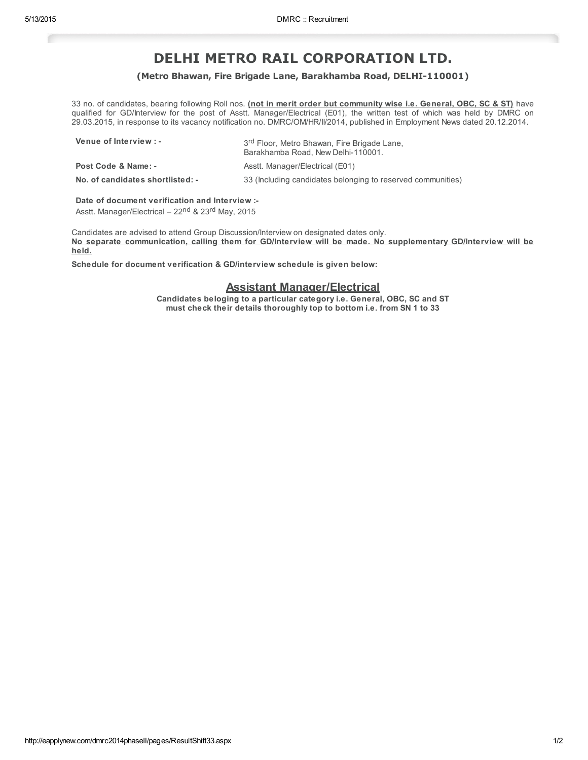## DELHI METRO RAIL CORPORATION LTD.

## (Metro Bhawan, Fire Brigade Lane, Barakhamba Road, DELHI-110001)

33 no. of candidates, bearing following Roll nos. (not in merit order but community wise i.e. General, OBC, SC & ST) have qualified for GD/Interview for the post of Asstt. Manager/Electrical (E01), the written test of which was held by DMRC on 29.03.2015, in response to its vacancy notification no. DMRC/OM/HR/II/2014, published in Employment News dated 20.12.2014.

| Venue of Interview : -           | 3 <sup>rd</sup> Floor, Metro Bhawan, Fire Brigade Lane,<br>Barakhamba Road, New Delhi-110001. |
|----------------------------------|-----------------------------------------------------------------------------------------------|
| Post Code & Name: -              | Asstt. Manager/Electrical (E01)                                                               |
| No. of candidates shortlisted: - | 33 (Including candidates belonging to reserved communities)                                   |

## Date of document verification and Interview :- Asstt. Manager/Electrical – 22<sup>nd</sup> & 23<sup>rd</sup> May, 2015

Candidates are advised to attend Group Discussion/Interview on designated dates only. No separate communication, calling them for GD/Interview will be made. No supplementary GD/Interview will be held.

Schedule for document verification & GD/interview schedule is given below:

## Assistant Manager/Electrical

Candidates beloging to a particular category i.e. General, OBC, SC and ST must check their details thoroughly top to bottom i.e. from SN 1 to 33